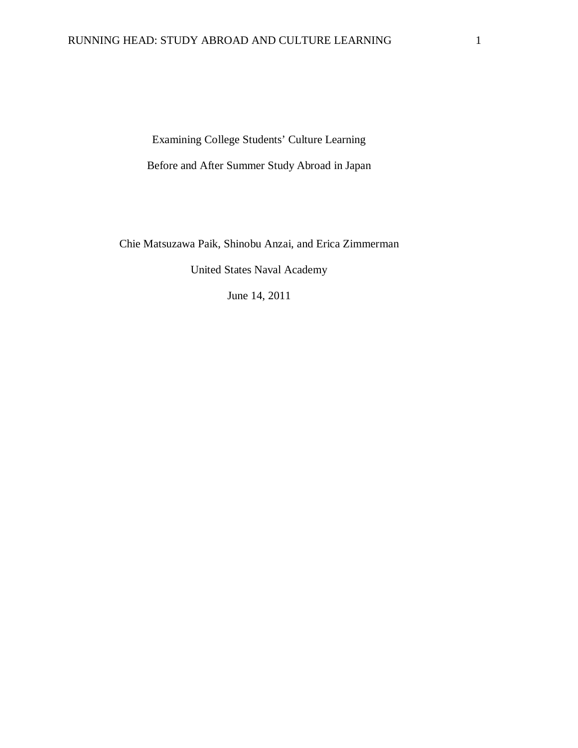Examining College Students' Culture Learning Before and After Summer Study Abroad in Japan

Chie Matsuzawa Paik, Shinobu Anzai, and Erica Zimmerman

United States Naval Academy

June 14, 2011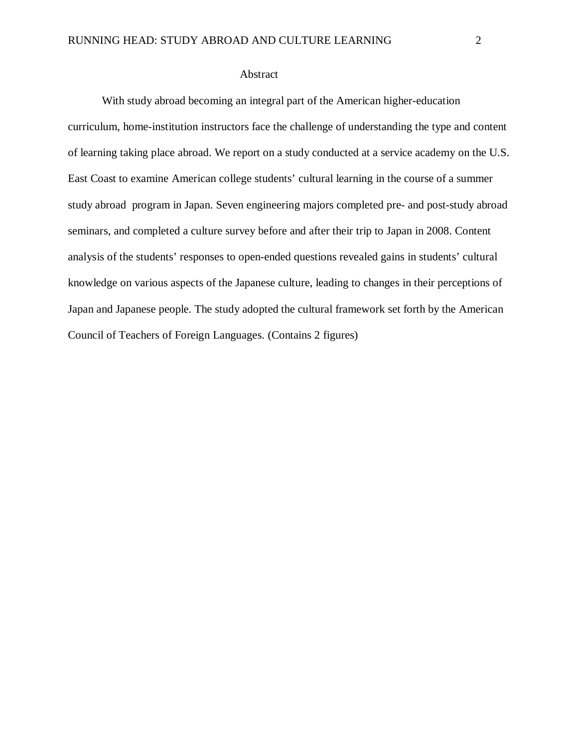## Abstract

With study abroad becoming an integral part of the American higher-education curriculum, home-institution instructors face the challenge of understanding the type and content of learning taking place abroad. We report on a study conducted at a service academy on the U.S. East Coast to examine American college students' cultural learning in the course of a summer study abroad program in Japan. Seven engineering majors completed pre- and post-study abroad seminars, and completed a culture survey before and after their trip to Japan in 2008. Content analysis of the students' responses to open-ended questions revealed gains in students' cultural knowledge on various aspects of the Japanese culture, leading to changes in their perceptions of Japan and Japanese people. The study adopted the cultural framework set forth by the American Council of Teachers of Foreign Languages. (Contains 2 figures)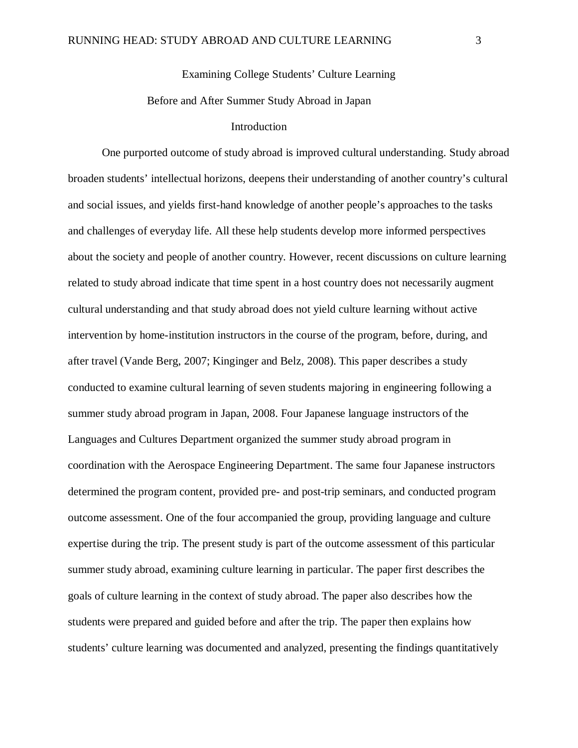# Examining College Students' Culture Learning

## Before and After Summer Study Abroad in Japan

## Introduction

One purported outcome of study abroad is improved cultural understanding. Study abroad broaden students' intellectual horizons, deepens their understanding of another country's cultural and social issues, and yields first-hand knowledge of another people's approaches to the tasks and challenges of everyday life. All these help students develop more informed perspectives about the society and people of another country. However, recent discussions on culture learning related to study abroad indicate that time spent in a host country does not necessarily augment cultural understanding and that study abroad does not yield culture learning without active intervention by home-institution instructors in the course of the program, before, during, and after travel (Vande Berg, 2007; Kinginger and Belz, 2008). This paper describes a study conducted to examine cultural learning of seven students majoring in engineering following a summer study abroad program in Japan, 2008. Four Japanese language instructors of the Languages and Cultures Department organized the summer study abroad program in coordination with the Aerospace Engineering Department. The same four Japanese instructors determined the program content, provided pre- and post-trip seminars, and conducted program outcome assessment. One of the four accompanied the group, providing language and culture expertise during the trip. The present study is part of the outcome assessment of this particular summer study abroad, examining culture learning in particular. The paper first describes the goals of culture learning in the context of study abroad. The paper also describes how the students were prepared and guided before and after the trip. The paper then explains how students' culture learning was documented and analyzed, presenting the findings quantitatively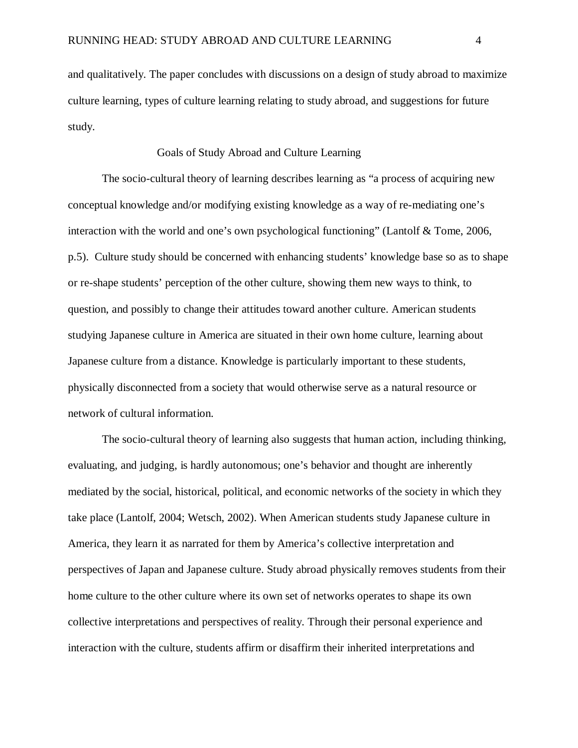and qualitatively. The paper concludes with discussions on a design of study abroad to maximize culture learning, types of culture learning relating to study abroad, and suggestions for future study.

## Goals of Study Abroad and Culture Learning

The socio-cultural theory of learning describes learning as "a process of acquiring new conceptual knowledge and/or modifying existing knowledge as a way of re-mediating one's interaction with the world and one's own psychological functioning" (Lantolf & Tome, 2006, p.5). Culture study should be concerned with enhancing students' knowledge base so as to shape or re-shape students' perception of the other culture, showing them new ways to think, to question, and possibly to change their attitudes toward another culture. American students studying Japanese culture in America are situated in their own home culture, learning about Japanese culture from a distance. Knowledge is particularly important to these students, physically disconnected from a society that would otherwise serve as a natural resource or network of cultural information.

The socio-cultural theory of learning also suggests that human action, including thinking, evaluating, and judging, is hardly autonomous; one's behavior and thought are inherently mediated by the social, historical, political, and economic networks of the society in which they take place (Lantolf, 2004; Wetsch, 2002). When American students study Japanese culture in America, they learn it as narrated for them by America's collective interpretation and perspectives of Japan and Japanese culture. Study abroad physically removes students from their home culture to the other culture where its own set of networks operates to shape its own collective interpretations and perspectives of reality. Through their personal experience and interaction with the culture, students affirm or disaffirm their inherited interpretations and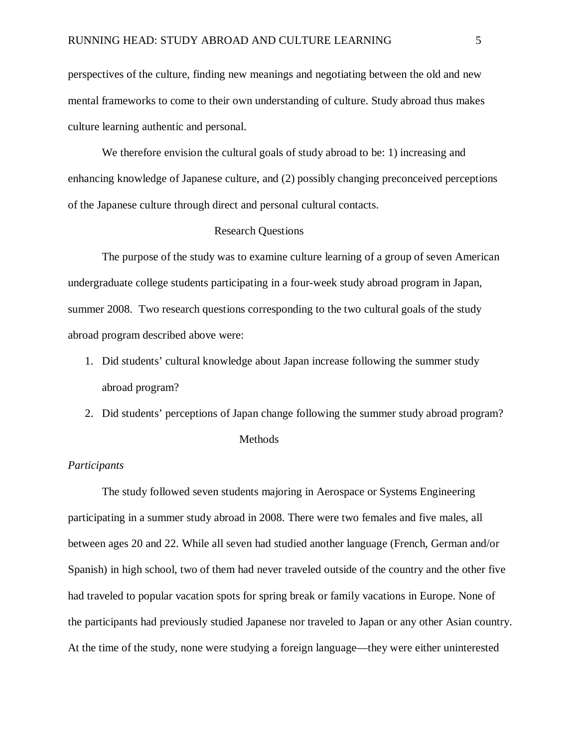perspectives of the culture, finding new meanings and negotiating between the old and new mental frameworks to come to their own understanding of culture. Study abroad thus makes culture learning authentic and personal.

We therefore envision the cultural goals of study abroad to be: 1) increasing and enhancing knowledge of Japanese culture, and (2) possibly changing preconceived perceptions of the Japanese culture through direct and personal cultural contacts.

#### Research Questions

The purpose of the study was to examine culture learning of a group of seven American undergraduate college students participating in a four-week study abroad program in Japan, summer 2008. Two research questions corresponding to the two cultural goals of the study abroad program described above were:

- 1. Did students' cultural knowledge about Japan increase following the summer study abroad program?
- 2. Did students' perceptions of Japan change following the summer study abroad program?

#### Methods

#### *Participants*

The study followed seven students majoring in Aerospace or Systems Engineering participating in a summer study abroad in 2008. There were two females and five males, all between ages 20 and 22. While all seven had studied another language (French, German and/or Spanish) in high school, two of them had never traveled outside of the country and the other five had traveled to popular vacation spots for spring break or family vacations in Europe. None of the participants had previously studied Japanese nor traveled to Japan or any other Asian country. At the time of the study, none were studying a foreign language—they were either uninterested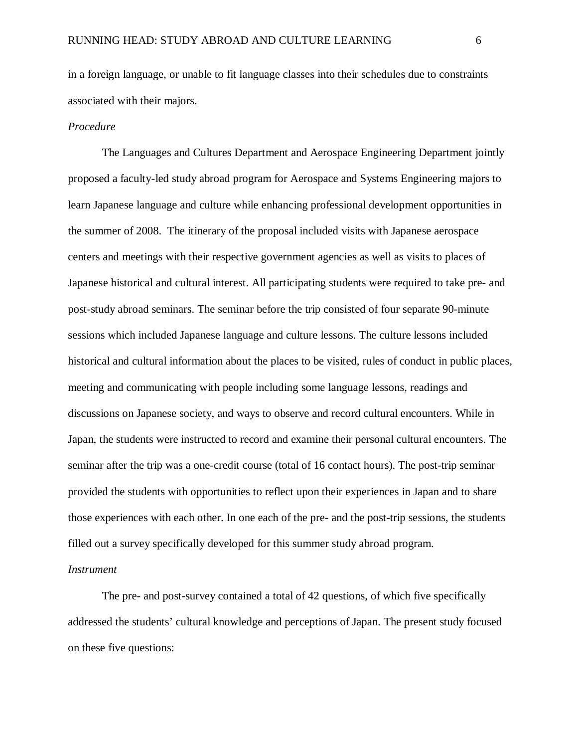in a foreign language, or unable to fit language classes into their schedules due to constraints associated with their majors.

### *Procedure*

The Languages and Cultures Department and Aerospace Engineering Department jointly proposed a faculty-led study abroad program for Aerospace and Systems Engineering majors to learn Japanese language and culture while enhancing professional development opportunities in the summer of 2008. The itinerary of the proposal included visits with Japanese aerospace centers and meetings with their respective government agencies as well as visits to places of Japanese historical and cultural interest. All participating students were required to take pre- and post-study abroad seminars. The seminar before the trip consisted of four separate 90-minute sessions which included Japanese language and culture lessons. The culture lessons included historical and cultural information about the places to be visited, rules of conduct in public places, meeting and communicating with people including some language lessons, readings and discussions on Japanese society, and ways to observe and record cultural encounters. While in Japan, the students were instructed to record and examine their personal cultural encounters. The seminar after the trip was a one-credit course (total of 16 contact hours). The post-trip seminar provided the students with opportunities to reflect upon their experiences in Japan and to share those experiences with each other. In one each of the pre- and the post-trip sessions, the students filled out a survey specifically developed for this summer study abroad program.

#### *Instrument*

The pre- and post-survey contained a total of 42 questions, of which five specifically addressed the students' cultural knowledge and perceptions of Japan. The present study focused on these five questions: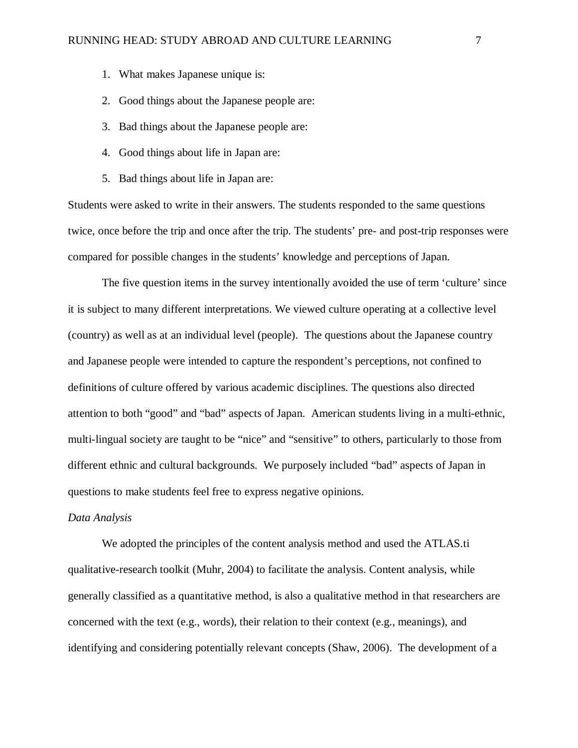- 1. What makes Japanese unique is:
- 2. Good things about the Japanese people are:
- 3. Bad things about the Japanese people are:
- 4. Good things about life in Japan are:
- 5. Bad things about life in Japan are:

Students were asked to write in their answers. The students responded to the same questions twice, once before the trip and once after the trip. The students' pre- and post-trip responses were compared for possible changes in the students' knowledge and perceptions of Japan.

The five question items in the survey intentionally avoided the use of term 'culture' since it is subject to many different interpretations. We viewed culture operating at a collective level (country) as well as at an individual level (people). The questions about the Japanese country and Japanese people were intended to capture the respondent's perceptions, not confined to definitions of culture offered by various academic disciplines. The questions also directed attention to both "good" and "bad" aspects of Japan. American students living in a multi-ethnic, multi-lingual society are taught to be "nice" and "sensitive" to others, particularly to those from different ethnic and cultural backgrounds. We purposely included "bad" aspects of Japan in questions to make students feel free to express negative opinions.

### *Data Analysis*

We adopted the principles of the content analysis method and used the ATLAS.ti qualitative-research toolkit (Muhr, 2004) to facilitate the analysis. Content analysis, while generally classified as a quantitative method, is also a qualitative method in that researchers are concerned with the text (e.g., words), their relation to their context (e.g., meanings), and identifying and considering potentially relevant concepts (Shaw, 2006). The development of a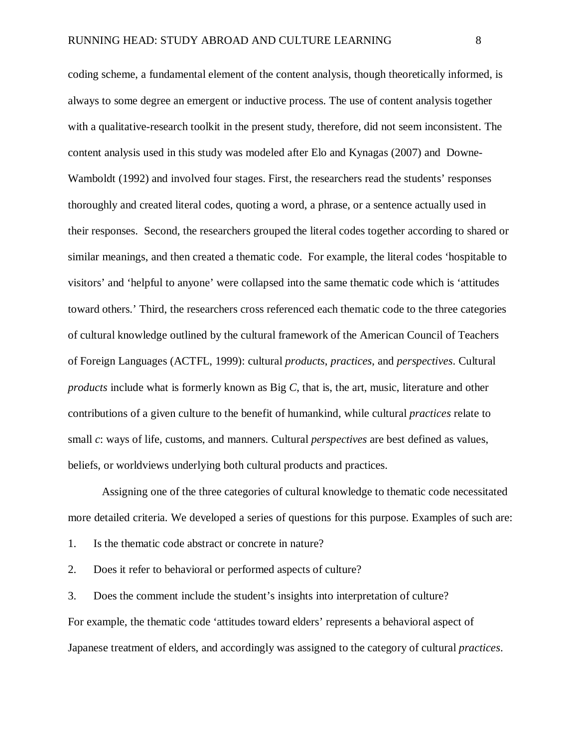coding scheme, a fundamental element of the content analysis, though theoretically informed, is always to some degree an emergent or inductive process. The use of content analysis together with a qualitative-research toolkit in the present study, therefore, did not seem inconsistent. The content analysis used in this study was modeled after Elo and Kynagas (2007) and Downe-Wamboldt (1992) and involved four stages. First, the researchers read the students' responses thoroughly and created literal codes, quoting a word, a phrase, or a sentence actually used in their responses. Second, the researchers grouped the literal codes together according to shared or similar meanings, and then created a thematic code. For example, the literal codes 'hospitable to visitors' and 'helpful to anyone' were collapsed into the same thematic code which is 'attitudes toward others.' Third, the researchers cross referenced each thematic code to the three categories of cultural knowledge outlined by the cultural framework of the American Council of Teachers of Foreign Languages (ACTFL, 1999): cultural *products*, *practices*, and *perspectives*. Cultural *products* include what is formerly known as Big *C*, that is, the art, music, literature and other contributions of a given culture to the benefit of humankind, while cultural *practices* relate to small *c*: ways of life, customs, and manners. Cultural *perspectives* are best defined as values, beliefs, or worldviews underlying both cultural products and practices.

Assigning one of the three categories of cultural knowledge to thematic code necessitated more detailed criteria. We developed a series of questions for this purpose. Examples of such are:

- 1. Is the thematic code abstract or concrete in nature?
- 2. Does it refer to behavioral or performed aspects of culture?

3. Does the comment include the student's insights into interpretation of culture? For example, the thematic code 'attitudes toward elders' represents a behavioral aspect of Japanese treatment of elders, and accordingly was assigned to the category of cultural *practices*.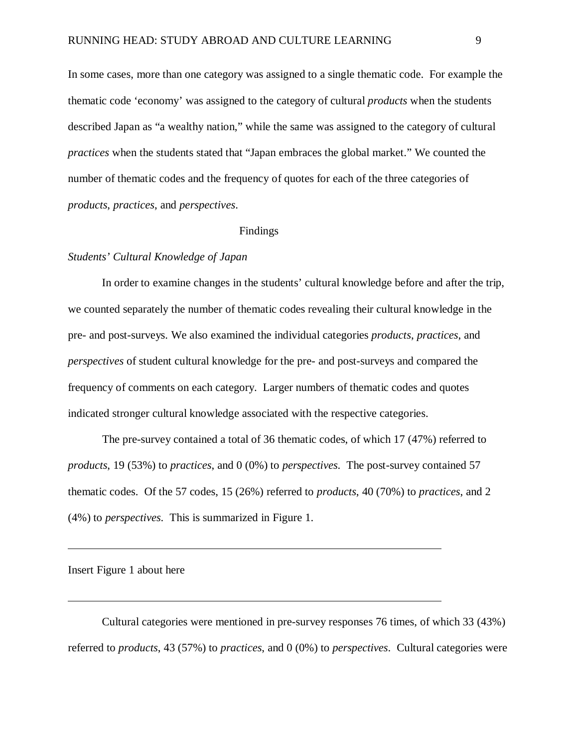In some cases, more than one category was assigned to a single thematic code. For example the thematic code 'economy' was assigned to the category of cultural *products* when the students described Japan as "a wealthy nation," while the same was assigned to the category of cultural *practices* when the students stated that "Japan embraces the global market." We counted the number of thematic codes and the frequency of quotes for each of the three categories of *products*, *practices*, and *perspectives*.

#### Findings

## *Students' Cultural Knowledge of Japan*

In order to examine changes in the students' cultural knowledge before and after the trip, we counted separately the number of thematic codes revealing their cultural knowledge in the pre- and post-surveys. We also examined the individual categories *products*, *practices*, and *perspectives* of student cultural knowledge for the pre- and post-surveys and compared the frequency of comments on each category. Larger numbers of thematic codes and quotes indicated stronger cultural knowledge associated with the respective categories.

 The pre-survey contained a total of 36 thematic codes, of which 17 (47%) referred to *products*, 19 (53%) to *practices*, and 0 (0%) to *perspectives*. The post-survey contained 57 thematic codes. Of the 57 codes, 15 (26%) referred to *products*, 40 (70%) to *practices*, and 2 (4%) to *perspectives*. This is summarized in Figure 1.

#### Insert Figure 1 about here

Cultural categories were mentioned in pre-survey responses 76 times, of which 33 (43%) referred to *products*, 43 (57%) to *practices*, and 0 (0%) to *perspectives*. Cultural categories were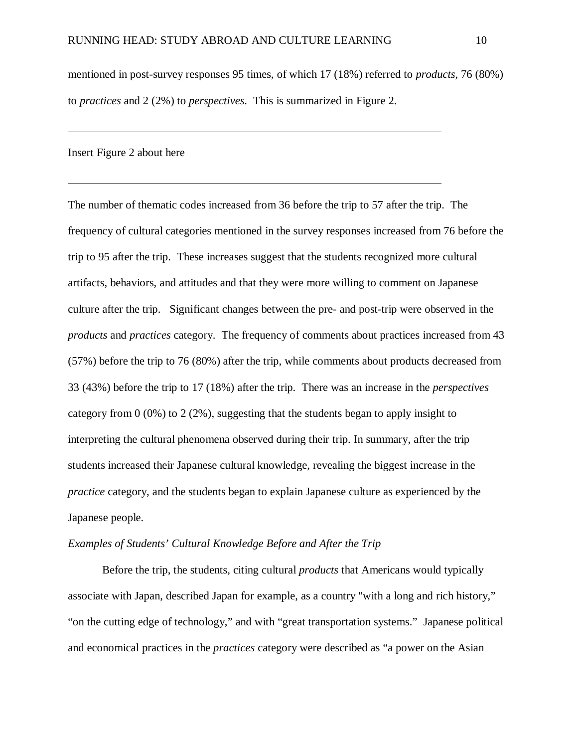mentioned in post-survey responses 95 times, of which 17 (18%) referred to *products*, 76 (80%) to *practices* and 2 (2%) to *perspectives*. This is summarized in Figure 2.

Insert Figure 2 about here

The number of thematic codes increased from 36 before the trip to 57 after the trip. The frequency of cultural categories mentioned in the survey responses increased from 76 before the trip to 95 after the trip. These increases suggest that the students recognized more cultural artifacts, behaviors, and attitudes and that they were more willing to comment on Japanese culture after the trip. Significant changes between the pre- and post-trip were observed in the *products* and *practices* category. The frequency of comments about practices increased from 43 (57%) before the trip to 76 (80%) after the trip, while comments about products decreased from 33 (43%) before the trip to 17 (18%) after the trip. There was an increase in the *perspectives* category from 0 (0%) to 2 (2%), suggesting that the students began to apply insight to interpreting the cultural phenomena observed during their trip. In summary, after the trip students increased their Japanese cultural knowledge, revealing the biggest increase in the *practice* category, and the students began to explain Japanese culture as experienced by the Japanese people.

## *Examples of Students' Cultural Knowledge Before and After the Trip*

 Before the trip, the students, citing cultural *products* that Americans would typically associate with Japan, described Japan for example, as a country "with a long and rich history," "on the cutting edge of technology," and with "great transportation systems." Japanese political and economical practices in the *practices* category were described as "a power on the Asian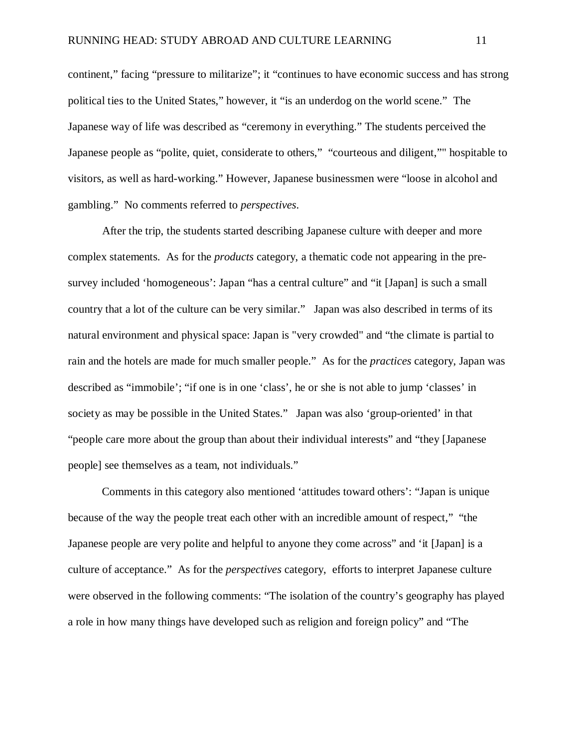continent," facing "pressure to militarize"; it "continues to have economic success and has strong political ties to the United States," however, it "is an underdog on the world scene." The Japanese way of life was described as "ceremony in everything." The students perceived the Japanese people as "polite, quiet, considerate to others," "courteous and diligent,"" hospitable to visitors, as well as hard-working." However, Japanese businessmen were "loose in alcohol and gambling." No comments referred to *perspectives*.

 After the trip, the students started describing Japanese culture with deeper and more complex statements. As for the *products* category, a thematic code not appearing in the presurvey included 'homogeneous': Japan "has a central culture" and "it [Japan] is such a small country that a lot of the culture can be very similar." Japan was also described in terms of its natural environment and physical space: Japan is "very crowded" and "the climate is partial to rain and the hotels are made for much smaller people." As for the *practices* category, Japan was described as "immobile'; "if one is in one 'class', he or she is not able to jump 'classes' in society as may be possible in the United States." Japan was also 'group-oriented' in that "people care more about the group than about their individual interests" and "they [Japanese people] see themselves as a team, not individuals."

Comments in this category also mentioned 'attitudes toward others': "Japan is unique because of the way the people treat each other with an incredible amount of respect," "the Japanese people are very polite and helpful to anyone they come across" and 'it [Japan] is a culture of acceptance." As for the *perspectives* category, efforts to interpret Japanese culture were observed in the following comments: "The isolation of the country's geography has played a role in how many things have developed such as religion and foreign policy" and "The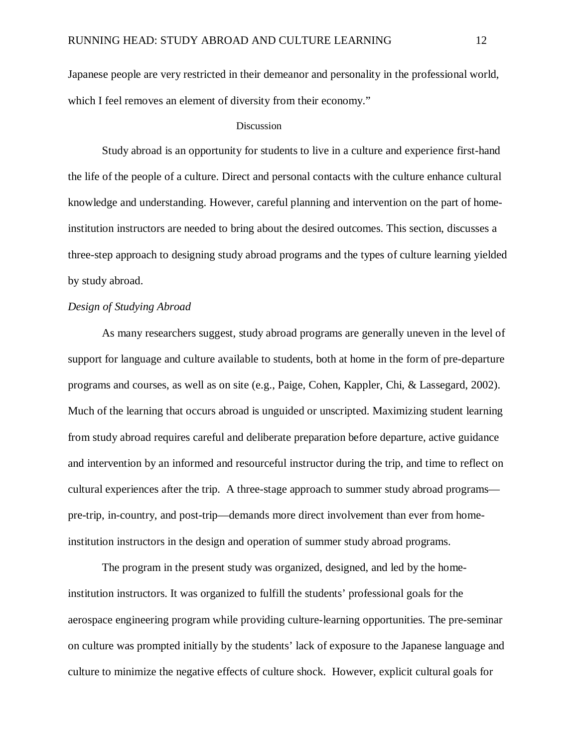Japanese people are very restricted in their demeanor and personality in the professional world, which I feel removes an element of diversity from their economy."

#### Discussion

Study abroad is an opportunity for students to live in a culture and experience first-hand the life of the people of a culture. Direct and personal contacts with the culture enhance cultural knowledge and understanding. However, careful planning and intervention on the part of homeinstitution instructors are needed to bring about the desired outcomes. This section, discusses a three-step approach to designing study abroad programs and the types of culture learning yielded by study abroad.

#### *Design of Studying Abroad*

As many researchers suggest, study abroad programs are generally uneven in the level of support for language and culture available to students, both at home in the form of pre-departure programs and courses, as well as on site (e.g., Paige, Cohen, Kappler, Chi, & Lassegard, 2002). Much of the learning that occurs abroad is unguided or unscripted. Maximizing student learning from study abroad requires careful and deliberate preparation before departure, active guidance and intervention by an informed and resourceful instructor during the trip, and time to reflect on cultural experiences after the trip. A three-stage approach to summer study abroad programs pre-trip, in-country, and post-trip—demands more direct involvement than ever from homeinstitution instructors in the design and operation of summer study abroad programs.

The program in the present study was organized, designed, and led by the homeinstitution instructors. It was organized to fulfill the students' professional goals for the aerospace engineering program while providing culture-learning opportunities. The pre-seminar on culture was prompted initially by the students' lack of exposure to the Japanese language and culture to minimize the negative effects of culture shock. However, explicit cultural goals for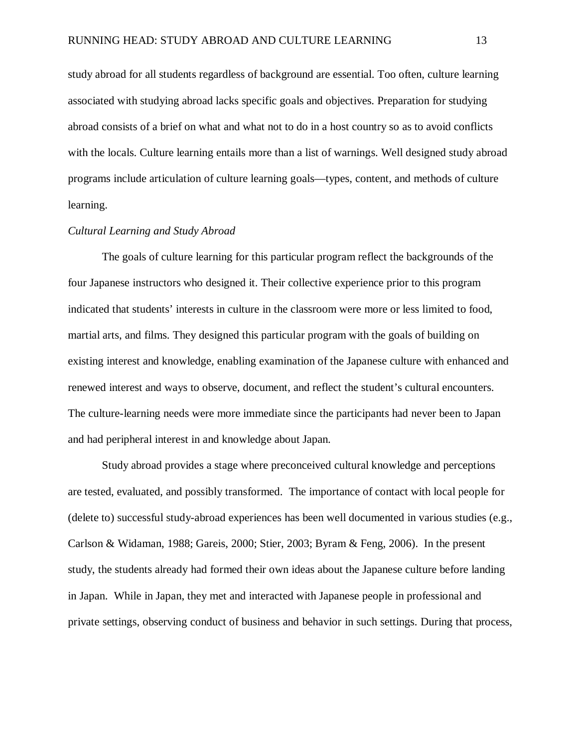study abroad for all students regardless of background are essential. Too often, culture learning associated with studying abroad lacks specific goals and objectives. Preparation for studying abroad consists of a brief on what and what not to do in a host country so as to avoid conflicts with the locals. Culture learning entails more than a list of warnings. Well designed study abroad programs include articulation of culture learning goals—types, content, and methods of culture learning.

## *Cultural Learning and Study Abroad*

The goals of culture learning for this particular program reflect the backgrounds of the four Japanese instructors who designed it. Their collective experience prior to this program indicated that students' interests in culture in the classroom were more or less limited to food, martial arts, and films. They designed this particular program with the goals of building on existing interest and knowledge, enabling examination of the Japanese culture with enhanced and renewed interest and ways to observe, document, and reflect the student's cultural encounters. The culture-learning needs were more immediate since the participants had never been to Japan and had peripheral interest in and knowledge about Japan.

Study abroad provides a stage where preconceived cultural knowledge and perceptions are tested, evaluated, and possibly transformed. The importance of contact with local people for (delete to) successful study-abroad experiences has been well documented in various studies (e.g., Carlson & Widaman, 1988; Gareis, 2000; Stier, 2003; Byram & Feng, 2006). In the present study, the students already had formed their own ideas about the Japanese culture before landing in Japan. While in Japan, they met and interacted with Japanese people in professional and private settings, observing conduct of business and behavior in such settings. During that process,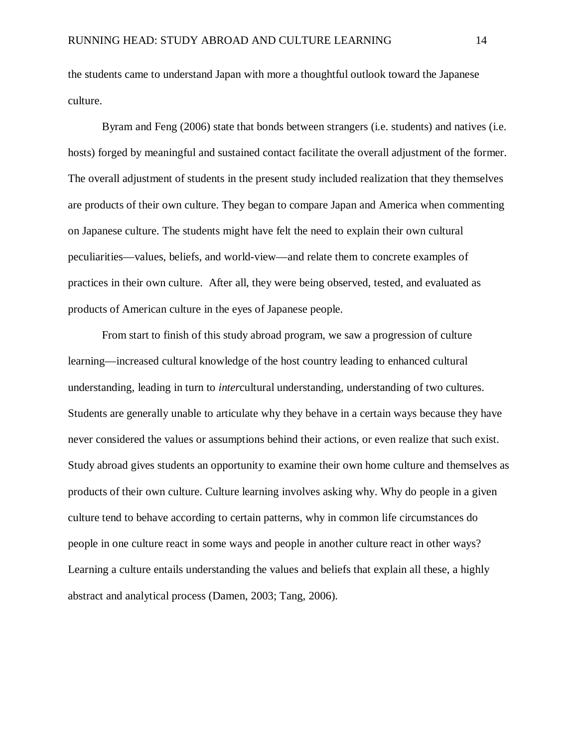the students came to understand Japan with more a thoughtful outlook toward the Japanese culture.

Byram and Feng (2006) state that bonds between strangers (i.e. students) and natives (i.e. hosts) forged by meaningful and sustained contact facilitate the overall adjustment of the former. The overall adjustment of students in the present study included realization that they themselves are products of their own culture. They began to compare Japan and America when commenting on Japanese culture. The students might have felt the need to explain their own cultural peculiarities—values, beliefs, and world-view—and relate them to concrete examples of practices in their own culture. After all, they were being observed, tested, and evaluated as products of American culture in the eyes of Japanese people.

From start to finish of this study abroad program, we saw a progression of culture learning—increased cultural knowledge of the host country leading to enhanced cultural understanding, leading in turn to *inter*cultural understanding, understanding of two cultures. Students are generally unable to articulate why they behave in a certain ways because they have never considered the values or assumptions behind their actions, or even realize that such exist. Study abroad gives students an opportunity to examine their own home culture and themselves as products of their own culture. Culture learning involves asking why. Why do people in a given culture tend to behave according to certain patterns, why in common life circumstances do people in one culture react in some ways and people in another culture react in other ways? Learning a culture entails understanding the values and beliefs that explain all these, a highly abstract and analytical process (Damen, 2003; Tang, 2006).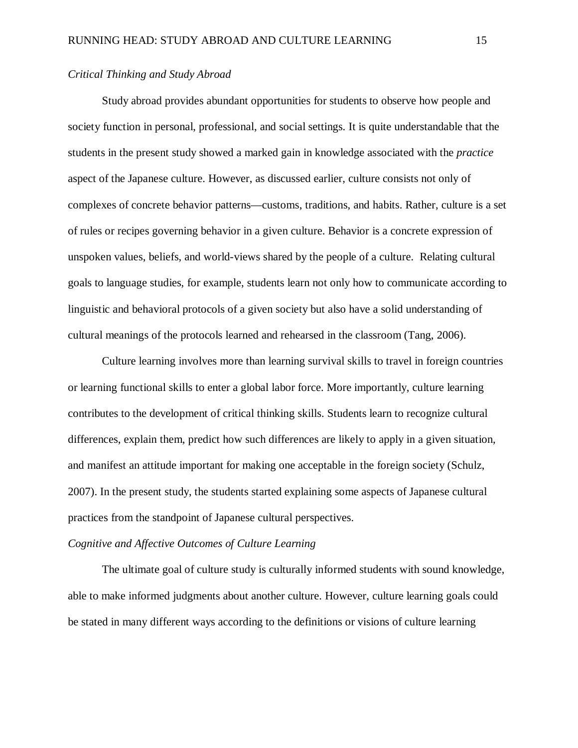## *Critical Thinking and Study Abroad*

Study abroad provides abundant opportunities for students to observe how people and society function in personal, professional, and social settings. It is quite understandable that the students in the present study showed a marked gain in knowledge associated with the *practice* aspect of the Japanese culture. However, as discussed earlier, culture consists not only of complexes of concrete behavior patterns—customs, traditions, and habits. Rather, culture is a set of rules or recipes governing behavior in a given culture. Behavior is a concrete expression of unspoken values, beliefs, and world-views shared by the people of a culture. Relating cultural goals to language studies, for example, students learn not only how to communicate according to linguistic and behavioral protocols of a given society but also have a solid understanding of cultural meanings of the protocols learned and rehearsed in the classroom (Tang, 2006).

Culture learning involves more than learning survival skills to travel in foreign countries or learning functional skills to enter a global labor force. More importantly, culture learning contributes to the development of critical thinking skills. Students learn to recognize cultural differences, explain them, predict how such differences are likely to apply in a given situation, and manifest an attitude important for making one acceptable in the foreign society (Schulz, 2007). In the present study, the students started explaining some aspects of Japanese cultural practices from the standpoint of Japanese cultural perspectives.

## *Cognitive and Affective Outcomes of Culture Learning*

The ultimate goal of culture study is culturally informed students with sound knowledge, able to make informed judgments about another culture. However, culture learning goals could be stated in many different ways according to the definitions or visions of culture learning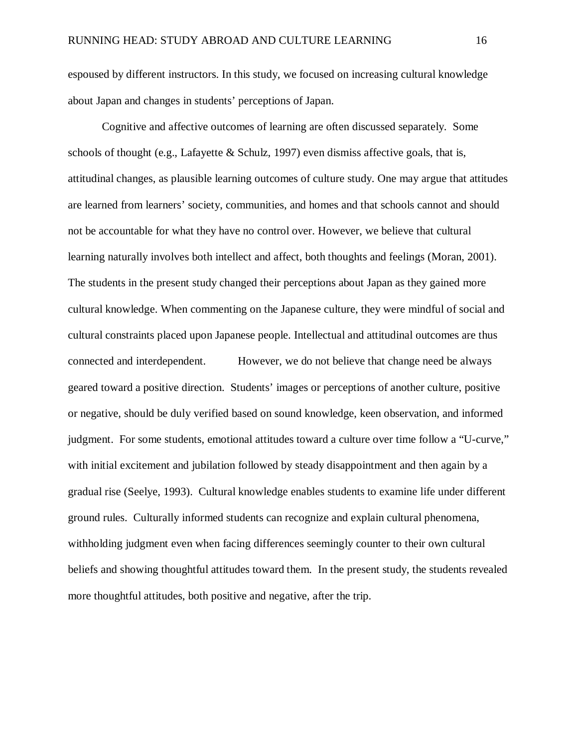espoused by different instructors. In this study, we focused on increasing cultural knowledge about Japan and changes in students' perceptions of Japan.

Cognitive and affective outcomes of learning are often discussed separately. Some schools of thought (e.g., Lafayette & Schulz, 1997) even dismiss affective goals, that is, attitudinal changes, as plausible learning outcomes of culture study. One may argue that attitudes are learned from learners' society, communities, and homes and that schools cannot and should not be accountable for what they have no control over. However, we believe that cultural learning naturally involves both intellect and affect, both thoughts and feelings (Moran, 2001). The students in the present study changed their perceptions about Japan as they gained more cultural knowledge. When commenting on the Japanese culture, they were mindful of social and cultural constraints placed upon Japanese people. Intellectual and attitudinal outcomes are thus connected and interdependent. However, we do not believe that change need be always geared toward a positive direction. Students' images or perceptions of another culture, positive or negative, should be duly verified based on sound knowledge, keen observation, and informed judgment. For some students, emotional attitudes toward a culture over time follow a "U-curve," with initial excitement and jubilation followed by steady disappointment and then again by a gradual rise (Seelye, 1993). Cultural knowledge enables students to examine life under different ground rules. Culturally informed students can recognize and explain cultural phenomena, withholding judgment even when facing differences seemingly counter to their own cultural beliefs and showing thoughtful attitudes toward them. In the present study, the students revealed more thoughtful attitudes, both positive and negative, after the trip.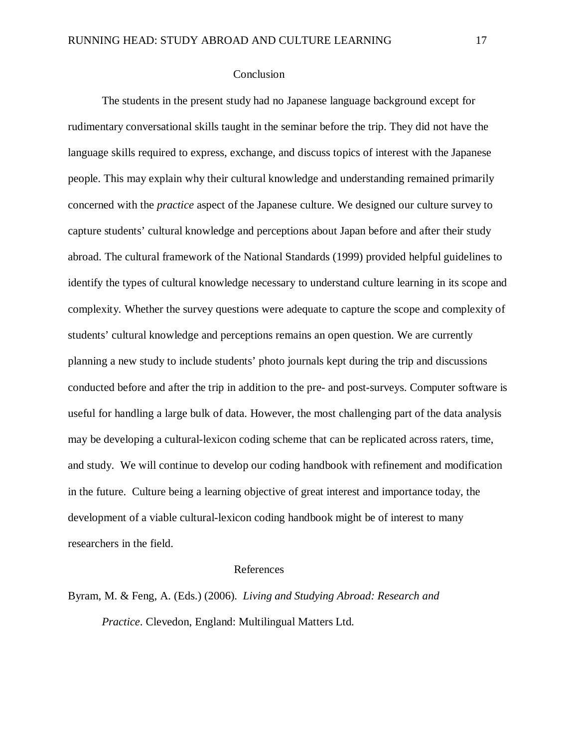## **Conclusion**

The students in the present study had no Japanese language background except for rudimentary conversational skills taught in the seminar before the trip. They did not have the language skills required to express, exchange, and discuss topics of interest with the Japanese people. This may explain why their cultural knowledge and understanding remained primarily concerned with the *practice* aspect of the Japanese culture. We designed our culture survey to capture students' cultural knowledge and perceptions about Japan before and after their study abroad. The cultural framework of the National Standards (1999) provided helpful guidelines to identify the types of cultural knowledge necessary to understand culture learning in its scope and complexity. Whether the survey questions were adequate to capture the scope and complexity of students' cultural knowledge and perceptions remains an open question. We are currently planning a new study to include students' photo journals kept during the trip and discussions conducted before and after the trip in addition to the pre- and post-surveys. Computer software is useful for handling a large bulk of data. However, the most challenging part of the data analysis may be developing a cultural-lexicon coding scheme that can be replicated across raters, time, and study. We will continue to develop our coding handbook with refinement and modification in the future. Culture being a learning objective of great interest and importance today, the development of a viable cultural-lexicon coding handbook might be of interest to many researchers in the field.

## References

Byram, M. & Feng, A. (Eds.) (2006). *Living and Studying Abroad: Research and Practice*. Clevedon, England: Multilingual Matters Ltd.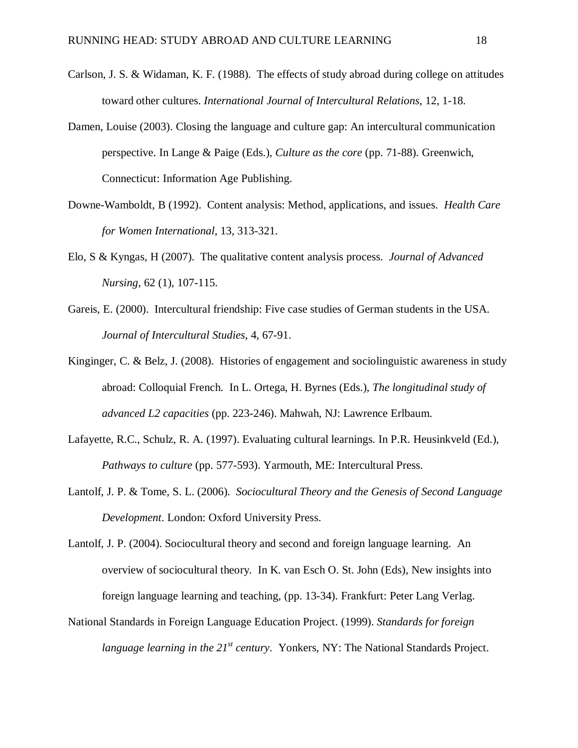- Carlson, J. S. & Widaman, K. F. (1988). The effects of study abroad during college on attitudes toward other cultures. *International Journal of Intercultural Relations*, 12, 1-18.
- Damen, Louise (2003). Closing the language and culture gap: An intercultural communication perspective. In Lange & Paige (Eds.), *Culture as the core* (pp. 71-88). Greenwich, Connecticut: Information Age Publishing.
- Downe-Wamboldt, B (1992). Content analysis: Method, applications, and issues. *Health Care for Women International*, 13, 313-321.
- Elo, S & Kyngas, H (2007). The qualitative content analysis process. *Journal of Advanced Nursing*, 62 (1), 107-115.
- Gareis, E. (2000). Intercultural friendship: Five case studies of German students in the USA. *Journal of Intercultural Studies*, 4, 67-91.
- Kinginger, C. & Belz, J. (2008). Histories of engagement and sociolinguistic awareness in study abroad: Colloquial French. In L. Ortega, H. Byrnes (Eds.), *The longitudinal study of advanced L2 capacities* (pp. 223-246). Mahwah, NJ: Lawrence Erlbaum.
- Lafayette, R.C., Schulz, R. A. (1997). Evaluating cultural learnings. In P.R. Heusinkveld (Ed.), *Pathways to culture* (pp. 577-593). Yarmouth, ME: Intercultural Press.
- Lantolf, J. P. & Tome, S. L. (2006). *Sociocultural Theory and the Genesis of Second Language Development*. London: Oxford University Press.
- Lantolf, J. P. (2004). Sociocultural theory and second and foreign language learning. An overview of sociocultural theory. In K. van Esch O. St. John (Eds), New insights into foreign language learning and teaching, (pp. 13-34). Frankfurt: Peter Lang Verlag.
- National Standards in Foreign Language Education Project. (1999). *Standards for foreign language learning in the 21<sup>st</sup> century.* Yonkers, NY: The National Standards Project.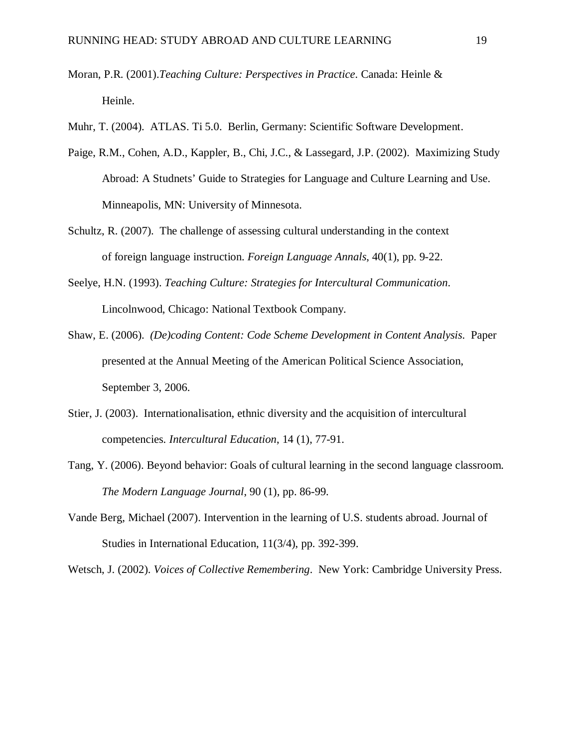- Moran, P.R. (2001).*Teaching Culture: Perspectives in Practice*. Canada: Heinle & Heinle.
- Muhr, T. (2004). ATLAS. Ti 5.0. Berlin, Germany: Scientific Software Development.
- Paige, R.M., Cohen, A.D., Kappler, B., Chi, J.C., & Lassegard, J.P. (2002). Maximizing Study Abroad: A Studnets' Guide to Strategies for Language and Culture Learning and Use. Minneapolis, MN: University of Minnesota.
- Schultz, R. (2007). The challenge of assessing cultural understanding in the context of foreign language instruction. *Foreign Language Annals*, 40(1), pp. 9-22.
- Seelye, H.N. (1993). *Teaching Culture: Strategies for Intercultural Communication*. Lincolnwood, Chicago: National Textbook Company.
- Shaw, E. (2006). *(De)coding Content: Code Scheme Development in Content Analysis*. Paper presented at the Annual Meeting of the American Political Science Association, September 3, 2006.
- Stier, J. (2003). Internationalisation, ethnic diversity and the acquisition of intercultural competencies. *Intercultural Education*, 14 (1), 77-91.
- Tang, Y. (2006). Beyond behavior: Goals of cultural learning in the second language classroom. *The Modern Language Journal*, 90 (1), pp. 86-99.
- Vande Berg, Michael (2007). Intervention in the learning of U.S. students abroad. Journal of Studies in International Education, 11(3/4), pp. 392-399.
- Wetsch, J. (2002). *Voices of Collective Remembering*. New York: Cambridge University Press.